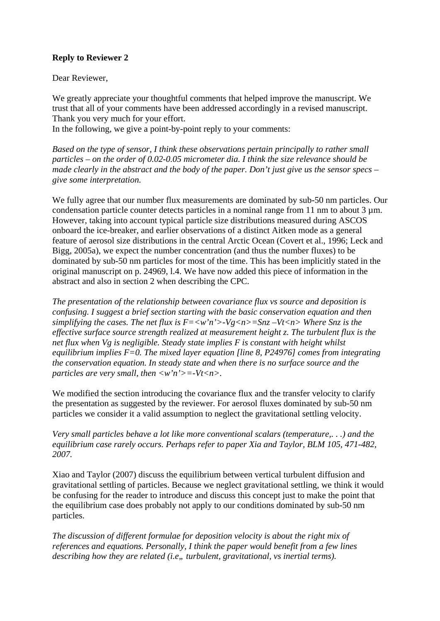## **Reply to Reviewer 2**

Dear Reviewer,

We greatly appreciate your thoughtful comments that helped improve the manuscript. We trust that all of your comments have been addressed accordingly in a revised manuscript. Thank you very much for your effort.

In the following, we give a point-by-point reply to your comments:

*Based on the type of sensor, I think these observations pertain principally to rather small particles – on the order of 0.02-0.05 micrometer dia. I think the size relevance should be made clearly in the abstract and the body of the paper. Don't just give us the sensor specs – give some interpretation.*

We fully agree that our number flux measurements are dominated by sub-50 nm particles. Our condensation particle counter detects particles in a nominal range from 11 nm to about  $3 \mu m$ . However, taking into account typical particle size distributions measured during ASCOS onboard the ice-breaker, and earlier observations of a distinct Aitken mode as a general feature of aerosol size distributions in the central Arctic Ocean (Covert et al., 1996; Leck and Bigg, 2005a), we expect the number concentration (and thus the number fluxes) to be dominated by sub-50 nm particles for most of the time. This has been implicitly stated in the original manuscript on p. 24969, l.4. We have now added this piece of information in the abstract and also in section 2 when describing the CPC.

*The presentation of the relationship between covariance flux vs source and deposition is confusing. I suggest a brief section starting with the basic conservation equation and then simplifying the cases. The net flux is F=<w'n'>-Vg<n>=Snz –Vt<n> Where Snz is the effective surface source strength realized at measurement height z. The turbulent flux is the net flux when Vg is negligible. Steady state implies F is constant with height whilst equilibrium implies F=0. The mixed layer equation [line 8, P24976] comes from integrating the conservation equation. In steady state and when there is no surface source and the particles are very small, then <w'n'>=-Vt<n>.*

We modified the section introducing the covariance flux and the transfer velocity to clarify the presentation as suggested by the reviewer. For aerosol fluxes dominated by sub-50 nm particles we consider it a valid assumption to neglect the gravitational settling velocity.

*Very small particles behave a lot like more conventional scalars (temperature,. . .) and the equilibrium case rarely occurs. Perhaps refer to paper Xia and Taylor, BLM 105, 471-482, 2007.*

Xiao and Taylor (2007) discuss the equilibrium between vertical turbulent diffusion and gravitational settling of particles. Because we neglect gravitational settling, we think it would be confusing for the reader to introduce and discuss this concept just to make the point that the equilibrium case does probably not apply to our conditions dominated by sub-50 nm particles.

*The discussion of different formulae for deposition velocity is about the right mix of references and equations. Personally, I think the paper would benefit from a few lines describing how they are related (i.e., turbulent, gravitational, vs inertial terms).*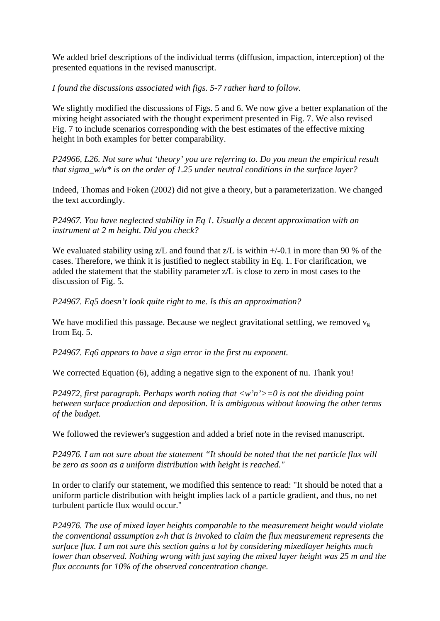We added brief descriptions of the individual terms (diffusion, impaction, interception) of the presented equations in the revised manuscript.

## *I found the discussions associated with figs. 5-7 rather hard to follow.*

We slightly modified the discussions of Figs. 5 and 6. We now give a better explanation of the mixing height associated with the thought experiment presented in Fig. 7. We also revised Fig. 7 to include scenarios corresponding with the best estimates of the effective mixing height in both examples for better comparability.

*P24966, L26. Not sure what 'theory' you are referring to. Do you mean the empirical result that sigma\_w/u\* is on the order of 1.25 under neutral conditions in the surface layer?*

Indeed, Thomas and Foken (2002) did not give a theory, but a parameterization. We changed the text accordingly.

*P24967. You have neglected stability in Eq 1. Usually a decent approximation with an instrument at 2 m height. Did you check?*

We evaluated stability using  $Z/L$  and found that  $Z/L$  is within  $+/-0.1$  in more than 90 % of the cases. Therefore, we think it is justified to neglect stability in Eq. 1. For clarification, we added the statement that the stability parameter z/L is close to zero in most cases to the discussion of Fig. 5.

*P24967. Eq5 doesn't look quite right to me. Is this an approximation?*

We have modified this passage. Because we neglect gravitational settling, we removed  $v_{\rm g}$ from Eq. 5.

*P24967. Eq6 appears to have a sign error in the first nu exponent.*

We corrected Equation (6), adding a negative sign to the exponent of nu. Thank you!

*P24972, first paragraph. Perhaps worth noting that <w'n'>=0 is not the dividing point between surface production and deposition. It is ambiguous without knowing the other terms of the budget.*

We followed the reviewer's suggestion and added a brief note in the revised manuscript.

*P24976. I am not sure about the statement "It should be noted that the net particle flux will be zero as soon as a uniform distribution with height is reached."*

In order to clarify our statement, we modified this sentence to read: "It should be noted that a uniform particle distribution with height implies lack of a particle gradient, and thus, no net turbulent particle flux would occur."

*P24976. The use of mixed layer heights comparable to the measurement height would violate the conventional assumption z«h that is invoked to claim the flux measurement represents the surface flux. I am not sure this section gains a lot by considering mixedlayer heights much lower than observed. Nothing wrong with just saying the mixed layer height was 25 m and the flux accounts for 10% of the observed concentration change.*